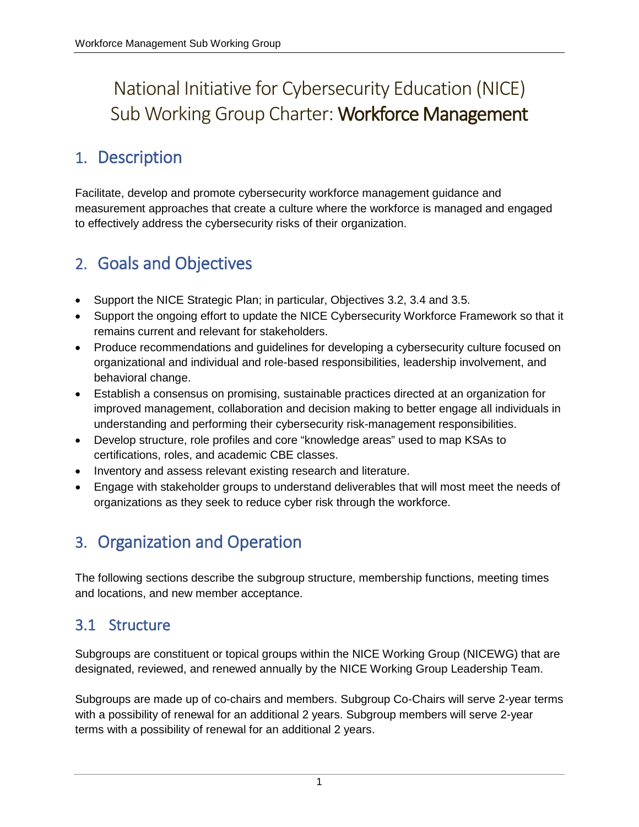# National Initiative for Cybersecurity Education (NICE) Sub Working Group Charter: Workforce Management

## 1. Description

Facilitate, develop and promote cybersecurity workforce management guidance and measurement approaches that create a culture where the workforce is managed and engaged to effectively address the cybersecurity risks of their organization.

# 2. Goals and Objectives

- Support the NICE Strategic Plan; in particular, Objectives 3.2, 3.4 and 3.5.
- Support the ongoing effort to update the NICE Cybersecurity Workforce Framework so that it remains current and relevant for stakeholders.
- Produce recommendations and guidelines for developing a cybersecurity culture focused on organizational and individual and role-based responsibilities, leadership involvement, and behavioral change.
- Establish a consensus on promising, sustainable practices directed at an organization for improved management, collaboration and decision making to better engage all individuals in understanding and performing their cybersecurity risk-management responsibilities.
- Develop structure, role profiles and core "knowledge areas" used to map KSAs to certifications, roles, and academic CBE classes.
- Inventory and assess relevant existing research and literature.
- Engage with stakeholder groups to understand deliverables that will most meet the needs of organizations as they seek to reduce cyber risk through the workforce.

# 3. Organization and Operation

The following sections describe the subgroup structure, membership functions, meeting times and locations, and new member acceptance.

### 3.1 Structure

Subgroups are constituent or topical groups within the NICE Working Group (NICEWG) that are designated, reviewed, and renewed annually by the NICE Working Group Leadership Team.

Subgroups are made up of co-chairs and members. Subgroup Co-Chairs will serve 2-year terms with a possibility of renewal for an additional 2 years. Subgroup members will serve 2-year terms with a possibility of renewal for an additional 2 years.

<sup>1</sup>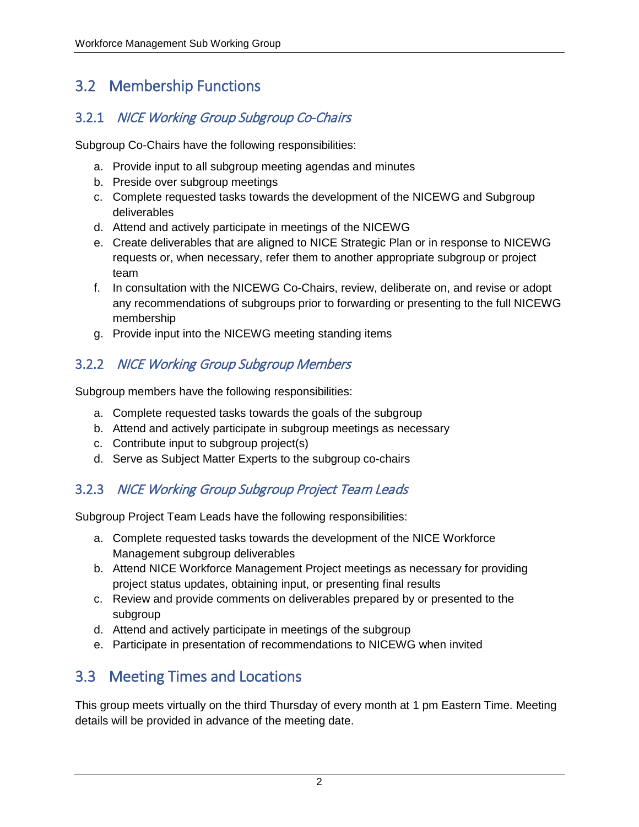### 3.2 Membership Functions

#### 3.2.1 NICE Working Group Subgroup Co-Chairs

Subgroup Co-Chairs have the following responsibilities:

- a. Provide input to all subgroup meeting agendas and minutes
- b. Preside over subgroup meetings
- c. Complete requested tasks towards the development of the NICEWG and Subgroup deliverables
- d. Attend and actively participate in meetings of the NICEWG
- e. Create deliverables that are aligned to NICE Strategic Plan or in response to NICEWG requests or, when necessary, refer them to another appropriate subgroup or project team
- f. In consultation with the NICEWG Co-Chairs, review, deliberate on, and revise or adopt any recommendations of subgroups prior to forwarding or presenting to the full NICEWG membership
- g. Provide input into the NICEWG meeting standing items

### 3.2.2 NICE Working Group Subgroup Members

Subgroup members have the following responsibilities:

- a. Complete requested tasks towards the goals of the subgroup
- b. Attend and actively participate in subgroup meetings as necessary
- c. Contribute input to subgroup project(s)
- d. Serve as Subject Matter Experts to the subgroup co-chairs

### 3.2.3 NICE Working Group Subgroup Project Team Leads

Subgroup Project Team Leads have the following responsibilities:

- a. Complete requested tasks towards the development of the NICE Workforce Management subgroup deliverables
- b. Attend NICE Workforce Management Project meetings as necessary for providing project status updates, obtaining input, or presenting final results
- c. Review and provide comments on deliverables prepared by or presented to the subgroup
- d. Attend and actively participate in meetings of the subgroup
- e. Participate in presentation of recommendations to NICEWG when invited

## 3.3 Meeting Times and Locations

This group meets virtually on the third Thursday of every month at 1 pm Eastern Time. Meeting details will be provided in advance of the meeting date.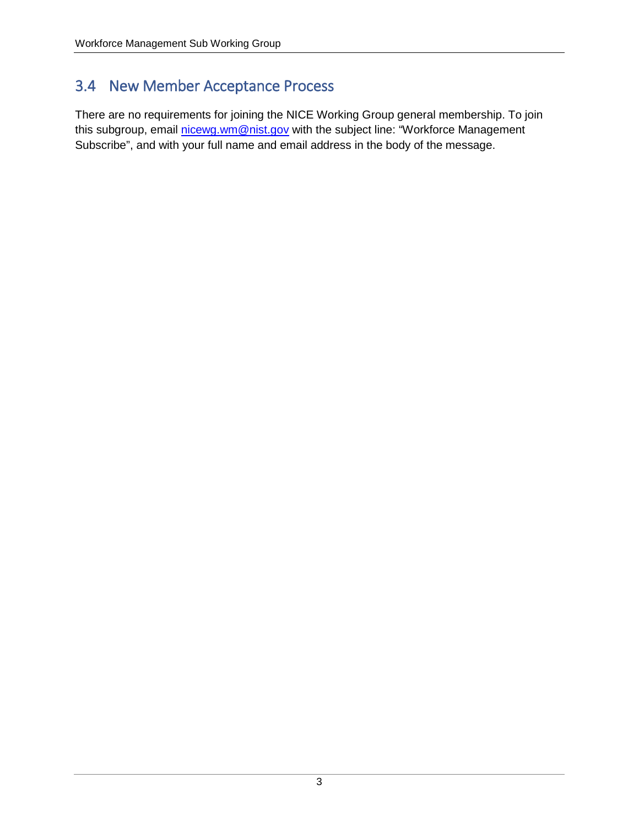### 3.4 New Member Acceptance Process

There are no requirements for joining the NICE Working Group general membership. To join this subgroup, email [nicewg.wm@nist.gov](mailto:nicewg.wm@nist.gov) with the subject line: "Workforce Management Subscribe", and with your full name and email address in the body of the message.